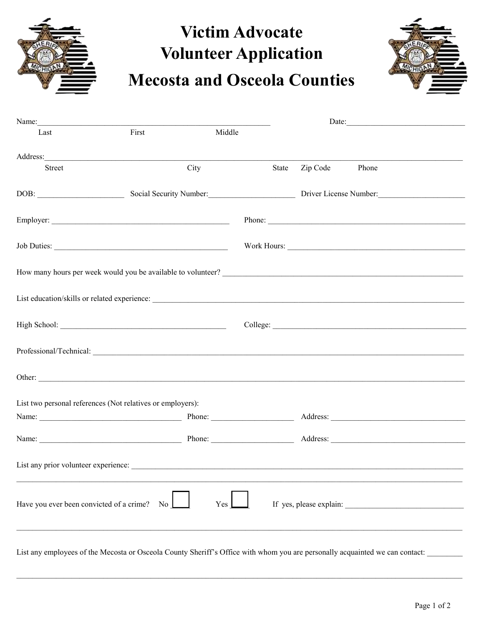

## **Victim Advocate Volunteer Application Mecosta and Osceola Counties**



| Name:                                       |                                                                                                                                                                                                                                        |        |       |          | Date:                   |  |
|---------------------------------------------|----------------------------------------------------------------------------------------------------------------------------------------------------------------------------------------------------------------------------------------|--------|-------|----------|-------------------------|--|
| Last                                        | First                                                                                                                                                                                                                                  | Middle |       |          |                         |  |
|                                             |                                                                                                                                                                                                                                        |        |       |          |                         |  |
| Street                                      |                                                                                                                                                                                                                                        | City   | State | Zip Code | Phone                   |  |
|                                             | DOB: Social Security Number: Driver License Number:                                                                                                                                                                                    |        |       |          |                         |  |
|                                             |                                                                                                                                                                                                                                        |        |       |          | Phone:                  |  |
|                                             |                                                                                                                                                                                                                                        |        |       |          |                         |  |
|                                             | How many hours per week would you be available to volunteer?<br><u>Letting and the contract of the contract of the contract of the contract of the contract of the contract of the contract of the contract of the contract of the</u> |        |       |          |                         |  |
|                                             |                                                                                                                                                                                                                                        |        |       |          |                         |  |
|                                             |                                                                                                                                                                                                                                        |        |       |          |                         |  |
|                                             |                                                                                                                                                                                                                                        |        |       |          |                         |  |
|                                             |                                                                                                                                                                                                                                        |        |       |          |                         |  |
|                                             | List two personal references (Not relatives or employers):                                                                                                                                                                             |        |       |          |                         |  |
|                                             |                                                                                                                                                                                                                                        |        |       |          |                         |  |
|                                             | Name: Phone: Address:                                                                                                                                                                                                                  |        |       |          |                         |  |
|                                             | List any prior volunteer experience:                                                                                                                                                                                                   |        |       |          |                         |  |
| Have you ever been convicted of a crime? No |                                                                                                                                                                                                                                        | Yes    |       |          | If yes, please explain: |  |
|                                             |                                                                                                                                                                                                                                        |        |       |          |                         |  |

List any employees of the Mecosta or Osceola County Sheriff's Office with whom you are personally acquainted we can contact: